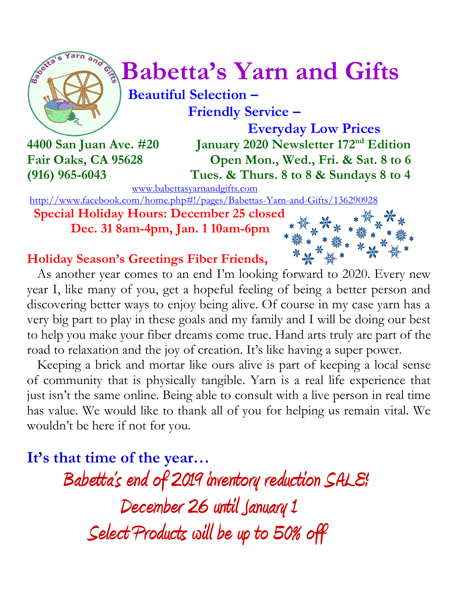

# $\int_{a}^{\infty}$  **Babetta's Yarn and Gifts**

 **Beautiful Selection – Friendly Service –**

 **Everyday Low Prices 4400 San Juan Ave. #20 January 2020 Newsletter 172 nd Edition Fair Oaks, CA 95628 Open Mon., Wed., Fri. & Sat. 8 to 6 (916) 965-6043 Tues. & Thurs. 8 to 8 & Sundays 8 to 4**

[www.babettasyarnandgifts.com](http://www.babettasyarnandgifts.com/)

<http://www.facebook.com/home.php#!/pages/Babettas-Yarn-and-Gifts/136290928>

 **Special Holiday Hours: December 25 closed Dec. 31 8am-4pm, Jan. 1 10am-6pm**



# **Holiday Season's Greetings Fiber Friends,**

As another year comes to an end I'm looking forward to 2020. Every new year I, like many of you, get a hopeful feeling of being a better person and discovering better ways to enjoy being alive. Of course in my case yarn has a very big part to play in these goals and my family and I will be doing our best to help you make your fiber dreams come true. Hand arts truly are part of the road to relaxation and the joy of creation. It's like having a super power.

 Keeping a brick and mortar like ours alive is part of keeping a local sense of community that is physically tangible. Yarn is a real life experience that just isn't the same online. Being able to consult with a live person in real time has value. We would like to thank all of you for helping us remain vital. We wouldn't be here if not for you.

**It's that time of the year…**

 **Babetta's end of 2019 inventory reduction SALE! December 26 until January 1 Select Products will be up to 50% off**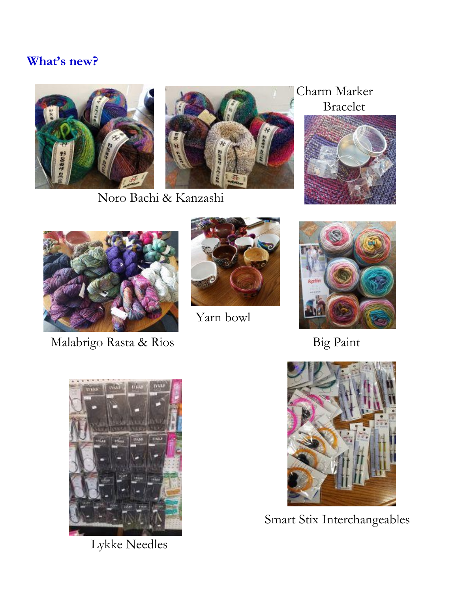## **What's new?**





Noro Bachi & Kanzashi

## Charm Marker Bracelet





Malabrigo Rasta & Rios Big Paint



Yarn bowl





Lykke Needles



Smart Stix Interchangeables